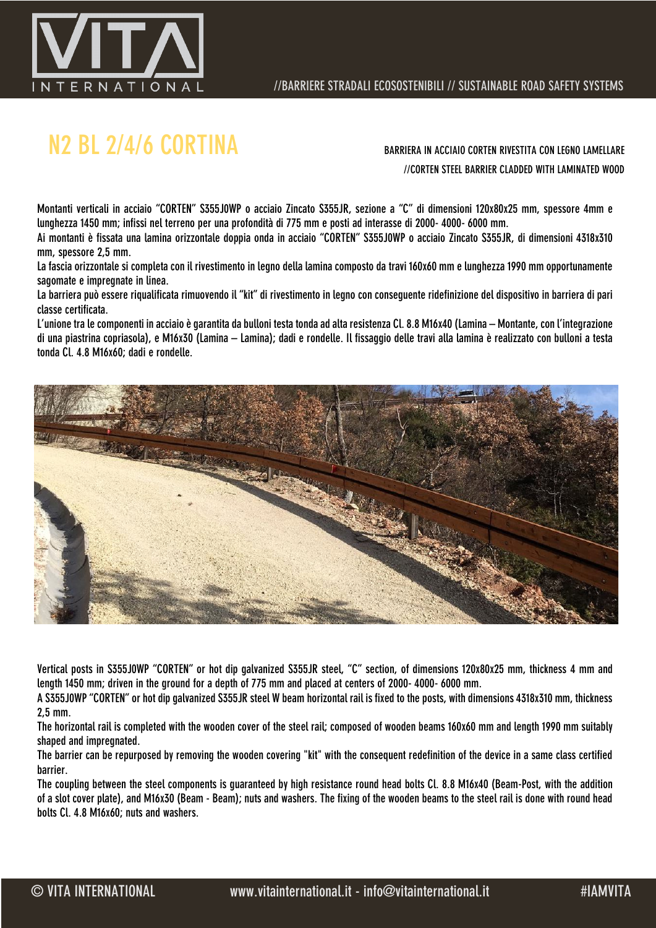

# N2 BL 2/4/6 CORTINA BARRIERA IN ACCIAIO CORTEN RIVESTITA CON LEGNO LAMELLARE

//CORTEN STEEL BARRIER CLADDED WITH LAMINATED WOOD

Montanti verticali in acciaio "CORTEN" S355J0WP o acciaio Zincato S355JR, sezione a "C" di dimensioni 120x80x25 mm, spessore 4mm e lunghezza 1450 mm; infissi nel terreno per una profondità di 775 mm e posti ad interasse di 2000- 4000- 6000 mm.

Ai montanti è fissata una lamina orizzontale doppia onda in acciaio "CORTEN" S355J0WP o acciaio Zincato S355JR, di dimensioni 4318x310 mm, spessore 2,5 mm.

La fascia orizzontale si completa con il rivestimento in legno della lamina composto da travi 160x60 mm e lunghezza 1990 mm opportunamente sagomate e impregnate in linea.

La barriera può essere riqualificata rimuovendo il "kit" di rivestimento in legno con conseguente ridefinizione del dispositivo in barriera di pari classe certificata.

L'unione tra le componenti in acciaio è garantita da bulloni testa tonda ad alta resistenza Cl. 8.8 M16x40 (Lamina – Montante, con l'integrazione di una piastrina copriasola), e M16x30 (Lamina – Lamina); dadi e rondelle. Il fissaggio delle travi alla lamina è realizzato con bulloni a testa tonda Cl. 4.8 M16x60; dadi e rondelle.



Vertical posts in S355J0WP "CORTEN" or hot dip galvanized S355JR steel, "C" section, of dimensions 120x80x25 mm, thickness 4 mm and length 1450 mm; driven in the ground for a depth of 775 mm and placed at centers of 2000- 4000- 6000 mm.

A S355J0WP "CORTEN" or hot dip galvanized S355JR steel W beam horizontal rail is fixed to the posts, with dimensions 4318x310 mm, thickness 2,5 mm.

The horizontal rail is completed with the wooden cover of the steel rail; composed of wooden beams 160x60 mm and length 1990 mm suitably shaped and impregnated.

The barrier can be repurposed by removing the wooden covering "kit" with the consequent redefinition of the device in a same class certified barrier.

The coupling between the steel components is guaranteed by high resistance round head bolts Cl. 8.8 M16x40 (Beam-Post, with the addition of a slot cover plate), and M16x30 (Beam - Beam); nuts and washers. The fixing of the wooden beams to the steel rail is done with round head bolts Cl. 4.8 M16x60; nuts and washers.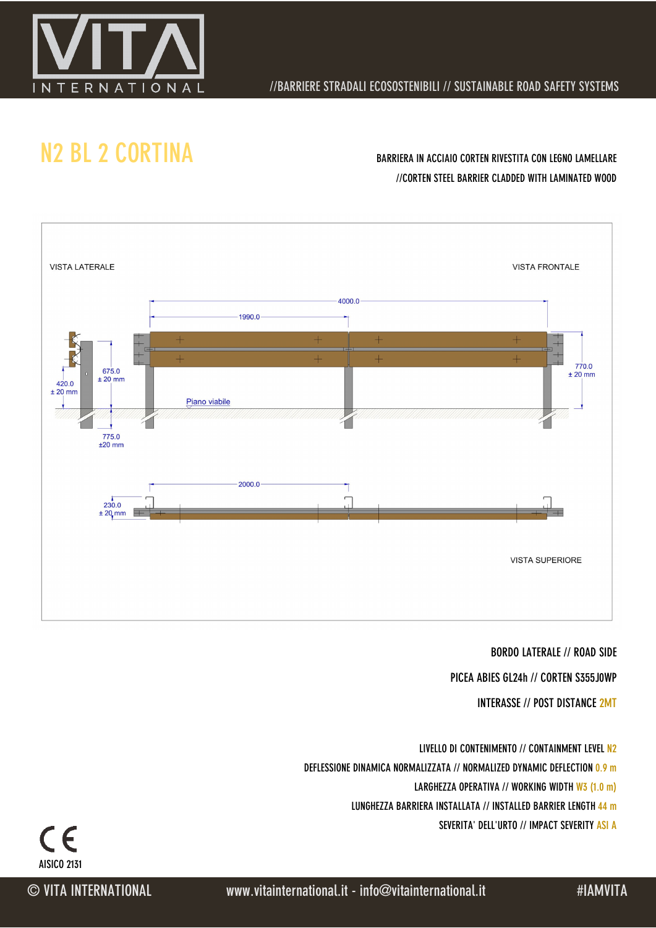

### //BARRIERE STRADALI ECOSOSTENIBILI // SUSTAINABLE ROAD SAFETY SYSTEMS

## N2 BL 2 CORTINA BARRIERA IN ACCIAIO CORTEN RIVESTITA CON LEGNO LAMELLARE

# //CORTEN STEEL BARRIER CLADDED WITH LAMINATED WOOD



#### BORDO LATERALE // ROAD SIDE

PICEA ABIES GL24h // CORTEN S355J0WP

INTERASSE // POST DISTANCE 2MT

LIVELLO DI CONTENIMENTO // CONTAINMENT LEVEL N2 DEFLESSIONE DINAMICA NORMALIZZATA // NORMALIZED DYNAMIC DEFLECTION 0.9 m LARGHEZZA OPERATIVA // WORKING WIDTH W3 (1.0 m)

LUNGHEZZA BARRIERA INSTALLATA // INSTALLED BARRIER LENGTH 44 m

SEVERITA' DELL'URTO // IMPACT SEVERITY ASI A

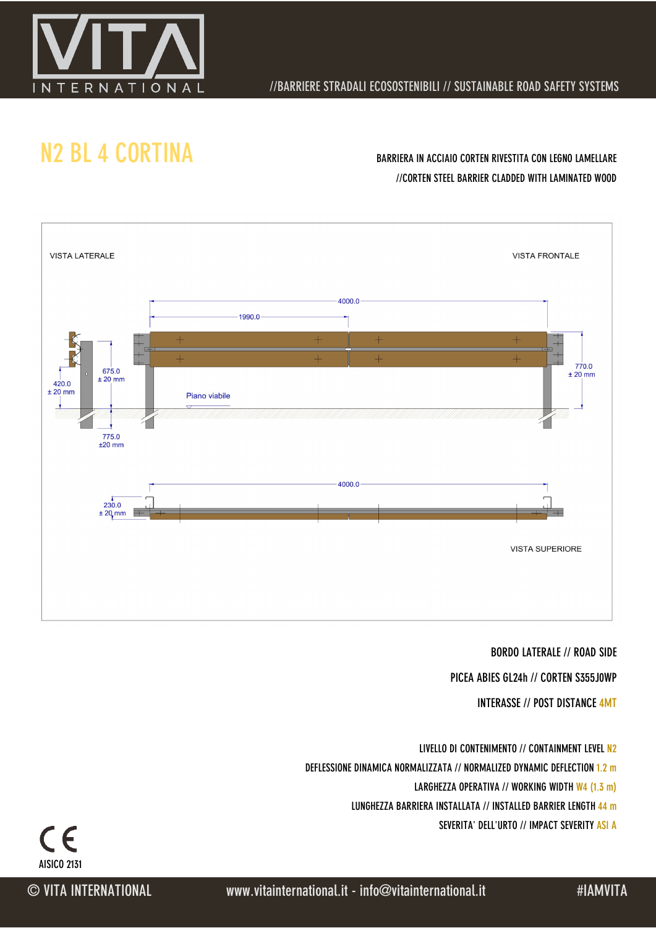

### //BARRIERE STRADALI ECOSOSTENIBILI // SUSTAINABLE ROAD SAFETY SYSTEMS

## N<sub>2</sub> BL 4 CORTINA BARRIERA IN ACCIAIO CORTEN RIVESTITA CON LEGNO LAMELLARE

# //CORTEN STEEL BARRIER CLADDED WITH LAMINATED WOOD



#### BORDO LATERALE // ROAD SIDE

PICEA ABIES GL24h // CORTEN S355J0WP

INTERASSE // POST DISTANCE 4MT

LIVELLO DI CONTENIMENTO // CONTAINMENT LEVEL N2 DEFLESSIONE DINAMICA NORMALIZZATA // NORMALIZED DYNAMIC DEFLECTION 1.2 m LARGHEZZA OPERATIVA // WORKING WIDTH W4 (1.3 m)

LUNGHEZZA BARRIERA INSTALLATA // INSTALLED BARRIER LENGTH 44 m

SEVERITA' DELL'URTO // IMPACT SEVERITY ASI A